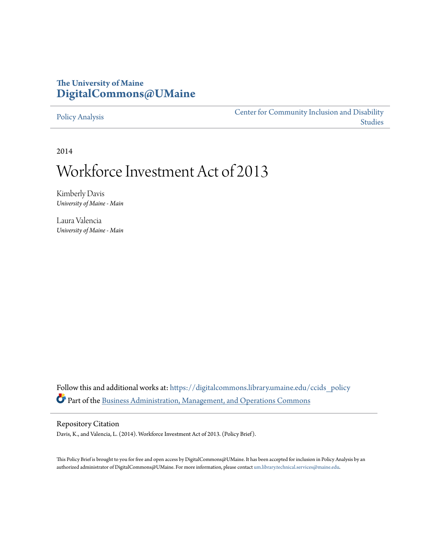# **The University of Maine [DigitalCommons@UMaine](https://digitalcommons.library.umaine.edu?utm_source=digitalcommons.library.umaine.edu%2Fccids_policy%2F2&utm_medium=PDF&utm_campaign=PDFCoverPages)**

#### [Policy Analysis](https://digitalcommons.library.umaine.edu/ccids_policy?utm_source=digitalcommons.library.umaine.edu%2Fccids_policy%2F2&utm_medium=PDF&utm_campaign=PDFCoverPages)

[Center for Community Inclusion and Disability](https://digitalcommons.library.umaine.edu/ccids?utm_source=digitalcommons.library.umaine.edu%2Fccids_policy%2F2&utm_medium=PDF&utm_campaign=PDFCoverPages) [Studies](https://digitalcommons.library.umaine.edu/ccids?utm_source=digitalcommons.library.umaine.edu%2Fccids_policy%2F2&utm_medium=PDF&utm_campaign=PDFCoverPages)

2014

# Workforce Investment Act of 2013

Kimberly Davis *University of Maine - Main*

Laura Valencia *University of Maine - Main*

Follow this and additional works at: [https://digitalcommons.library.umaine.edu/ccids\\_policy](https://digitalcommons.library.umaine.edu/ccids_policy?utm_source=digitalcommons.library.umaine.edu%2Fccids_policy%2F2&utm_medium=PDF&utm_campaign=PDFCoverPages) Part of the [Business Administration, Management, and Operations Commons](http://network.bepress.com/hgg/discipline/623?utm_source=digitalcommons.library.umaine.edu%2Fccids_policy%2F2&utm_medium=PDF&utm_campaign=PDFCoverPages)

#### Repository Citation

Davis, K., and Valencia, L. (2014). Workforce Investment Act of 2013. (Policy Brief).

This Policy Brief is brought to you for free and open access by DigitalCommons@UMaine. It has been accepted for inclusion in Policy Analysis by an authorized administrator of DigitalCommons@UMaine. For more information, please contact [um.library.technical.services@maine.edu.](mailto:um.library.technical.services@maine.edu)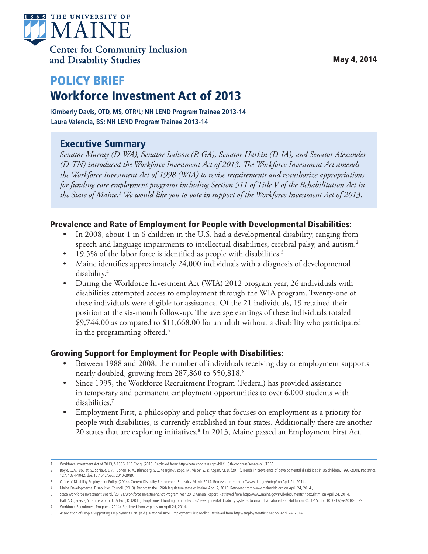

# POLICY BRIEF Workforce Investment Act of 2013

**Kimberly Davis, OTD, MS, OTR/L; NH LEND Program Trainee 2013-14 Laura Valencia, BS; NH LEND Program Trainee 2013-14**

## Executive Summary

*Senator Murray (D-WA), Senator Isakson (R-GA), Senator Harkin (D-IA), and Senator Alexander (D-TN) introduced the Workforce Investment Act of 2013. The Workforce Investment Act amends the Workforce Investment Act of 1998 (WIA) to revise requirements and reauthorize appropriations for funding core employment programs including Section 511 of Title V of the Rehabilitation Act in the State of Maine.1 We would like you to vote in support of the Workforce Investment Act of 2013.*

#### Prevalence and Rate of Employment for People with Developmental Disabilities:

- In 2008, about 1 in 6 children in the U.S. had a developmental disability, ranging from speech and language impairments to intellectual disabilities, cerebral palsy, and autism.<sup>2</sup>
- 19.5% of the labor force is identified as people with disabilities.<sup>3</sup>
- Maine identifies approximately 24,000 individuals with a diagnosis of developmental disability.4
- During the Workforce Investment Act (WIA) 2012 program year, 26 individuals with disabilities attempted access to employment through the WIA program. Twenty-one of these individuals were eligible for assistance. Of the 21 individuals, 19 retained their position at the six-month follow-up. The average earnings of these individuals totaled \$9,744.00 as compared to \$11,668.00 for an adult without a disability who participated in the programming offered.<sup>5</sup>

#### Growing Support for Employment for People with Disabilities:

- Between 1988 and 2008, the number of individuals receiving day or employment supports nearly doubled, growing from 287,860 to 550,818.<sup>6</sup>
- Since 1995, the Workforce Recruitment Program (Federal) has provided assistance in temporary and permanent employment opportunities to over 6,000 students with disabilities.7
- Employment First, a philosophy and policy that focuses on employment as a priority for people with disabilities, is currently established in four states. Additionally there are another 20 states that are exploring initiatives.<sup>8</sup> In 2013, Maine passed an Employment First Act.

<sup>1</sup> Workforce Investment Act of 2013, S.1356, 113 Cong. (2013) Retrieved from: http://beta.congresss.gov/bill/113th-congress/senate-bill/1356

<sup>2</sup> Boyle, C. A., Boulet, S., Schieve, L. A., Cohen, R. A., Blumberg, S. J., Yeargin-Allsopp, M., Visser, S., & Kogan, M. D. (2011). Trends in prevalence of developmental disabilities in US children, 1997-2008. Pediatrics, 127, 1034-1042. doi: 10.1542/peds.2010-2989.

<sup>3</sup> Office of Disability Employment Policy. (2014). Current Disability Employment Statistics, March 2014. Retrieved from: http://www.dol.gov/odep/ on April 24, 2014.

<sup>4</sup> Maine Developmental Disabilities Council. (2013). Report to the 126th legislature state of Maine, April 2, 2013. Retrieved from www.maineddc.org on April 24, 2014.,

<sup>5</sup> State Workforce Investment Board. (2013). Workforce Investment Act Program Year 2012 Annual Report. Retrieved from http://www.maine.gov/swib/documents/index.shtml on April 24, 2014.

<sup>6</sup> Hall, A.C., Freeze, S., Butterworth, J., & Hoff, D. (2011). Employment funding for intellectual/developmental disability systems. Journal of Vocational Rehabilitation 34, 1-15. doi: 10.3233/jvr-2010-0529.

<sup>7</sup> Workforce Recruitment Program. (2014). Retrieved from wrp.gov on April 24, 2014.

<sup>8</sup> Association of People Supporting Employment First. (n.d.). National APSE Employment First Toolkit. Retrieved from http://employmentfirst.net on April 24, 2014.